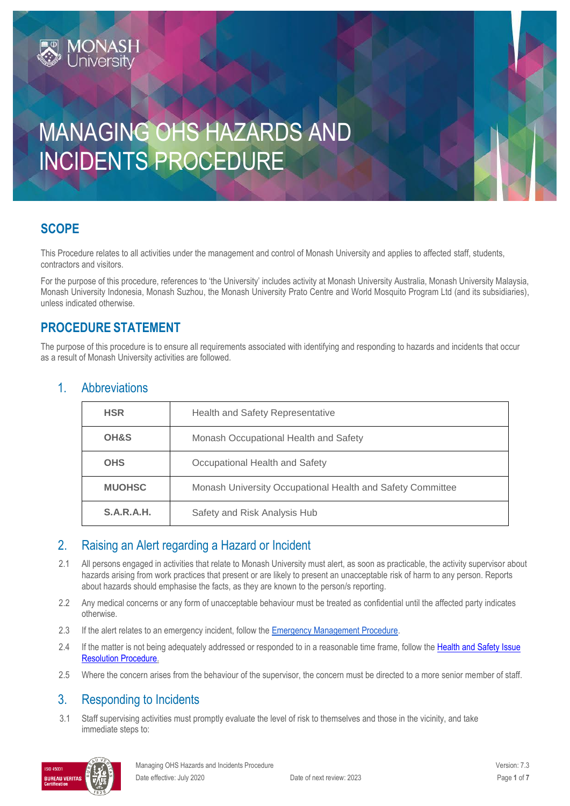# MANAGING OHS HAZARDS AND INCIDENTS PROCEDURE

# **SCOPE**

This Procedure relates to all activities under the management and control of Monash University and applies to affected staff, students, contractors and visitors.

For the purpose of this procedure, references to 'the University' includes activity at Monash University Australia, Monash University Malaysia, Monash University Indonesia, Monash Suzhou, the Monash University Prato Centre and World Mosquito Program Ltd (and its subsidiaries), unless indicated otherwise.

#### **PROCEDURE STATEMENT**

**MONASH**<br>University

The purpose of this procedure is to ensure all requirements associated with identifying and responding to hazards and incidents that occur as a result of Monash University activities are followed.

| <b>Health and Safety Representative</b>                    |  |
|------------------------------------------------------------|--|
| Monash Occupational Health and Safety                      |  |
| Occupational Health and Safety                             |  |
| Monash University Occupational Health and Safety Committee |  |
| Safety and Risk Analysis Hub                               |  |
|                                                            |  |

#### 1. Abbreviations

# 2. Raising an Alert regarding a Hazard or Incident

- 2.1 All persons engaged in activities that relate to Monash University must alert, as soon as practicable, the activity supervisor about hazards arising from work practices that present or are likely to present an unacceptable risk of harm to any person. Reports about hazards should emphasise the facts, as they are known to the person/s reporting.
- 2.2 Any medical concerns or any form of unacceptable behaviour must be treated as confidential until the affected party indicates otherwise.
- 2.3 If the alert relates to an emergency incident, follow the **Emergency Management Procedure.**
- 2.4 If the matter is not being adequately addressed or responded to in a reasonable time frame, follow the Health and Safety Issue [Resolution Procedure.](https://publicpolicydms.monash.edu/Monash/documents/1935619)
- 2.5 Where the concern arises from the behaviour of the supervisor, the concern must be directed to a more senior member of staff.

#### 3. Responding to Incidents

3.1 Staff supervising activities must promptly evaluate the level of risk to themselves and those in the vicinity, and take immediate steps to:

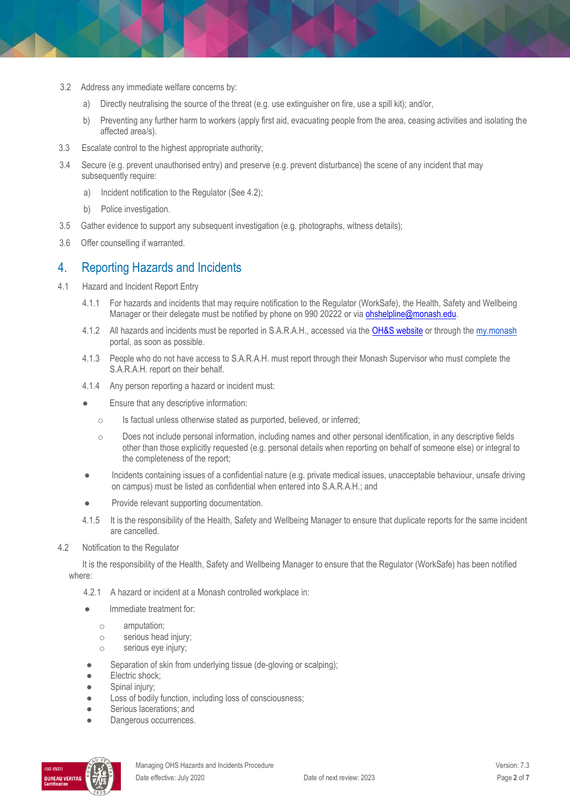- 3.2 Address any immediate welfare concerns by:
	- a) Directly neutralising the source of the threat (e.g. use extinguisher on fire, use a spill kit); and/or,
	- b) Preventing any further harm to workers (apply first aid, evacuating people from the area, ceasing activities and isolating the affected area/s).
- 3.3 Escalate control to the highest appropriate authority;
- 3.4 Secure (e.g. prevent unauthorised entry) and preserve (e.g. prevent disturbance) the scene of any incident that may subsequently require:
	- a) Incident notification to the Regulator (See 4.2);
	- b) Police investigation.
- 3.5 Gather evidence to support any subsequent investigation (e.g. photographs, witness details);
- 3.6 Offer counselling if warranted.

#### 4. Reporting Hazards and Incidents

- 4.1 Hazard and Incident Report Entry
	- 4.1.1 For hazards and incidents that may require notification to the Regulator (WorkSafe), the Health, Safety and Wellbeing Manager or their delegate must be notified by phone on 990 20222 or via [ohshelpline@monash.edu.](mailto:ohshelpline@monash.edu)
	- 4.1.2 All hazards and incidents must be reported in S.A.R.A.H., accessed via th[e OH&S website](http://www.monash.edu.au/ohs) or through th[e my.monash](https://my.monash.edu.au/) portal, as soon as possible.
	- 4.1.3 People who do not have access to S.A.R.A.H. must report through their Monash Supervisor who must complete the S.A.R.A.H. report on their behalf.
	- 4.1.4 Any person reporting a hazard or incident must:
	- Ensure that any descriptive information:
		- o Is factual unless otherwise stated as purported, believed, or inferred;
		- $\circ$  Does not include personal information, including names and other personal identification, in any descriptive fields other than those explicitly requested (e.g. personal details when reporting on behalf of someone else) or integral to the completeness of the report;
	- Incidents containing issues of a confidential nature (e.g. private medical issues, unacceptable behaviour, unsafe driving on campus) must be listed as confidential when entered into S.A.R.A.H.; and
	- Provide relevant supporting documentation.
	- 4.1.5 It is the responsibility of the Health, Safety and Wellbeing Manager to ensure that duplicate reports for the same incident are cancelled.
- 4.2 Notification to the Regulator

It is the responsibility of the Health, Safety and Wellbeing Manager to ensure that the Regulator (WorkSafe) has been notified where:

- 4.2.1 A hazard or incident at a Monash controlled workplace in:
- Immediate treatment for:
	- o amputation;
	- o serious head injury;
	- o serious eye injury;
- Separation of skin from underlying tissue (de-gloving or scalping);
- Electric shock;
- Spinal injury;
- Loss of bodily function, including loss of consciousness;
- Serious lacerations; and
- Dangerous occurrences.

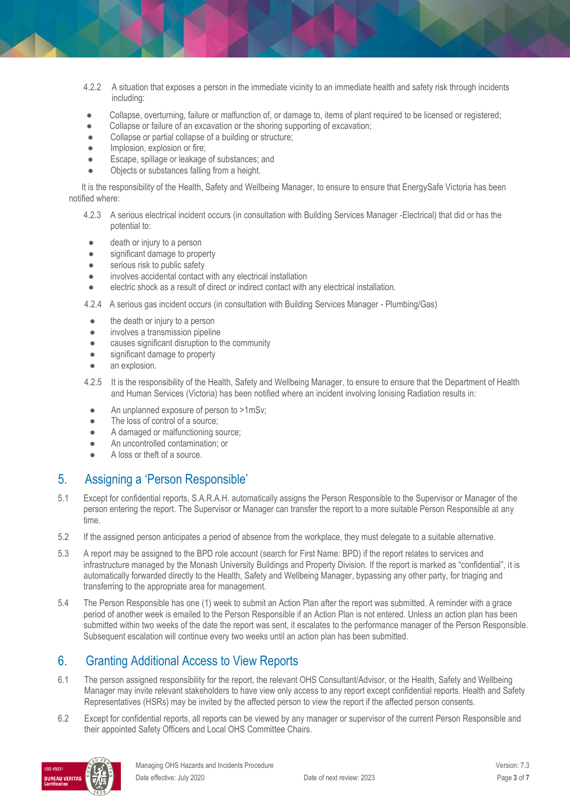- 4.2.2 A situation that exposes a person in the immediate vicinity to an immediate health and safety risk through incidents including:
- Collapse, overturning, failure or malfunction of, or damage to, items of plant required to be licensed or registered;
- Collapse or failure of an excavation or the shoring supporting of excavation;
- Collapse or partial collapse of a building or structure;
- Implosion, explosion or fire;
- Escape, spillage or leakage of substances; and
- Objects or substances falling from a height.

It is the responsibility of the Health, Safety and Wellbeing Manager, to ensure to ensure that EnergySafe Victoria has been notified where:

- 4.2.3 A serious electrical incident occurs (in consultation with Building Services Manager -Electrical) that did or has the potential to:
- death or injury to a person
- significant damage to property
- serious risk to public safety
- involves accidental contact with any electrical installation
- electric shock as a result of direct or indirect contact with any electrical installation.

4.2.4 A serious gas incident occurs (in consultation with Building Services Manager - Plumbing/Gas)

- the death or injury to a person
- involves a transmission pipeline
- causes significant disruption to the community
- significant damage to property
- an explosion.
- 4.2.5 It is the responsibility of the Health, Safety and Wellbeing Manager, to ensure to ensure that the Department of Health and Human Services (Victoria) has been notified where an incident involving Ionising Radiation results in:
	- An unplanned exposure of person to >1mSv;
	- The loss of control of a source;
	- A damaged or malfunctioning source;
	- An uncontrolled contamination; or
	- A loss or theft of a source.

# 5. Assigning a 'Person Responsible'

- 5.1 Except for confidential reports, S.A.R.A.H. automatically assigns the Person Responsible to the Supervisor or Manager of the person entering the report. The Supervisor or Manager can transfer the report to a more suitable Person Responsible at any time.
- 5.2 If the assigned person anticipates a period of absence from the workplace, they must delegate to a suitable alternative.
- 5.3 A report may be assigned to the BPD role account (search for First Name: BPD) if the report relates to services and infrastructure managed by the Monash University Buildings and Property Division. If the report is marked as "confidential", it is automatically forwarded directly to the Health, Safety and Wellbeing Manager, bypassing any other party, for triaging and transferring to the appropriate area for management.
- 5.4 The Person Responsible has one (1) week to submit an Action Plan after the report was submitted. A reminder with a grace period of another week is emailed to the Person Responsible if an Action Plan is not entered. Unless an action plan has been submitted within two weeks of the date the report was sent, it escalates to the performance manager of the Person Responsible. Subsequent escalation will continue every two weeks until an action plan has been submitted.

# 6. Granting Additional Access to View Reports

- 6.1 The person assigned responsibility for the report, the relevant OHS Consultant/Advisor, or the Health, Safety and Wellbeing Manager may invite relevant stakeholders to have view only access to any report except confidential reports. Health and Safety Representatives (HSRs) may be invited by the affected person to view the report if the affected person consents.
- 6.2 Except for confidential reports, all reports can be viewed by any manager or supervisor of the current Person Responsible and their appointed Safety Officers and Local OHS Committee Chairs.

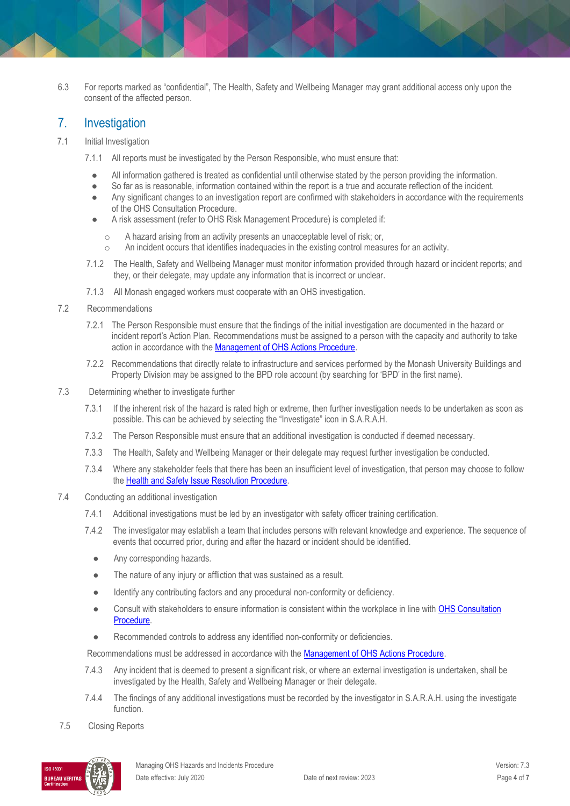6.3 For reports marked as "confidential", The Health, Safety and Wellbeing Manager may grant additional access only upon the consent of the affected person.

#### 7. Investigation

- 7.1 Initial Investigation
	- 7.1.1 All reports must be investigated by the Person Responsible, who must ensure that:
		- All information gathered is treated as confidential until otherwise stated by the person providing the information.
		- So far as is reasonable, information contained within the report is a true and accurate reflection of the incident.
		- Any significant changes to an investigation report are confirmed with stakeholders in accordance with the requirements of th[e OHS Consultation Procedure.](https://www.monash.edu/__data/assets/pdf_file/0006/147147/ohs-consultation.pdf)
		- A risk assessment (refer to OHS Risk Management Procedure) is completed if:
			- o A hazard arising from an activity presents an unacceptable level of risk; or,
			- o An incident occurs that identifies inadequacies in the existing control measures for an activity.
	- 7.1.2 The Health, Safety and Wellbeing Manager must monitor information provided through hazard or incident reports; and they, or their delegate, may update any information that is incorrect or unclear.
	- 7.1.3 All Monash engaged workers must cooperate with an OHS investigation.

#### 7.2 Recommendations

- 7.2.1 The Person Responsible must ensure that the findings of the initial investigation are documented in the hazard or incident report's Action Plan. Recommendations must be assigned to a person with the capacity and authority to take action in accordance with the [Management of OHS Actions Procedure.](https://publicpolicydms.monash.edu/Monash/documents/1935618)
- 7.2.2 Recommendations that directly relate to infrastructure and services performed by the Monash University Buildings and Property Division may be assigned to the BPD role account (by searching for 'BPD' in the first name).
- 7.3 Determining whether to investigate further
	- 7.3.1 If the inherent risk of the hazard is rated high or extreme, then further investigation needs to be undertaken as soon as possible. This can be achieved by selecting the "Investigate" icon in S.A.R.A.H.
	- 7.3.2 The Person Responsible must ensure that an additional investigation is conducted if deemed necessary.
	- 7.3.3 The Health, Safety and Wellbeing Manager or their delegate may request further investigation be conducted.
	- 7.3.4 Where any stakeholder feels that there has been an insufficient level of investigation, that person may choose to follow the [Health and Safety Issue Resolution Procedure.](https://publicpolicydms.monash.edu/Monash/documents/1935619)
- 7.4 Conducting an additional investigation
	- 7.4.1 Additional investigations must be led by an investigator with safety officer training certification.
	- 7.4.2 The investigator may establish a team that includes persons with relevant knowledge and experience. The sequence of events that occurred prior, during and after the hazard or incident should be identified.
		- Any corresponding hazards.
		- The nature of any injury or affliction that was sustained as a result.
		- Identify any contributing factors and any procedural non-conformity or deficiency.
		- Consult with stakeholders to ensure information is consistent within the workplace in line with OHS Consultation [Procedure.](https://publicpolicydms.monash.edu/Monash/documents/1935625)
		- Recommended controls to address any identified non-conformity or deficiencies.

Recommendations must be addressed in accordance with the **Management of OHS Actions Procedure**.

- 7.4.3 Any incident that is deemed to present a significant risk, or where an external investigation is undertaken, shall be investigated by the Health, Safety and Wellbeing Manager or their delegate.
- 7.4.4 The findings of any additional investigations must be recorded by the investigator in S.A.R.A.H. using the investigate function.
- 7.5 Closing Reports

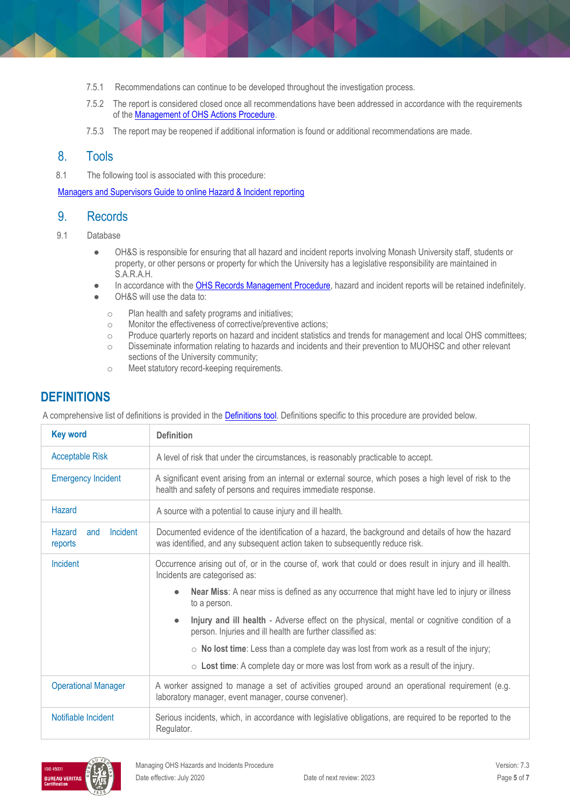- 7.5.1 Recommendations can continue to be developed throughout the investigation process.
- 7.5.2 The report is considered closed once all recommendations have been addressed in accordance with the requirements of the [Management of OHS Actions Procedure.](https://publicpolicydms.monash.edu/Monash/documents/1935618)
- 7.5.3 The report may be reopened if additional information is found or additional recommendations are made.

#### 8. Tools

8.1 The following tool is associated with this procedure:

[Managers and Supervisors Guide to online Hazard & Incident reporting](https://www.monash.edu/__data/assets/pdf_file/0015/101364/guide-mgrs-supervisor.pdf)

#### 9. Records

- 9.1 Database
	- OH&S is responsible for ensuring that all hazard and incident reports involving Monash University staff, students or property, or other persons or property for which the University has a legislative responsibility are maintained in S.A.R.A.H.
	- In accordance with th[e OHS Records Management Procedure,](https://publicpolicydms.monash.edu/Monash/documents/1935642) hazard and incident reports will be retained indefinitely.
	- OH&S will use the data to:
		- o Plan health and safety programs and initiatives;
		- o Monitor the effectiveness of corrective/preventive actions;
		- o Produce quarterly reports on hazard and incident statistics and trends for management and local OHS committees;
		- o Disseminate information relating to hazards and incidents and their prevention to MUOHSC and other relevant sections of the University community;
		- o Meet statutory record-keeping requirements.

### **DEFINITIONS**

A comprehensive list of definitions is provided in the [Definitions tool.](https://www.monash.edu/__data/assets/pdf_file/0018/113742/ohs-document-definitions.pdf) Definitions specific to this procedure are provided below.

| <b>Key word</b>                      | <b>Definition</b>                                                                                                                                                                   |  |  |
|--------------------------------------|-------------------------------------------------------------------------------------------------------------------------------------------------------------------------------------|--|--|
| <b>Acceptable Risk</b>               | A level of risk that under the circumstances, is reasonably practicable to accept.                                                                                                  |  |  |
| <b>Emergency Incident</b>            | A significant event arising from an internal or external source, which poses a high level of risk to the<br>health and safety of persons and requires immediate response.           |  |  |
| <b>Hazard</b>                        | A source with a potential to cause injury and ill health.                                                                                                                           |  |  |
| Hazard<br>Incident<br>and<br>reports | Documented evidence of the identification of a hazard, the background and details of how the hazard<br>was identified, and any subsequent action taken to subsequently reduce risk. |  |  |
| Incident                             | Occurrence arising out of, or in the course of, work that could or does result in injury and ill health.<br>Incidents are categorised as:                                           |  |  |
|                                      | Near Miss: A near miss is defined as any occurrence that might have led to injury or illness<br>to a person.                                                                        |  |  |
|                                      | Injury and ill health - Adverse effect on the physical, mental or cognitive condition of a<br>person. Injuries and ill health are further classified as:                            |  |  |
|                                      | $\circ$ No lost time: Less than a complete day was lost from work as a result of the injury;                                                                                        |  |  |
|                                      | $\circ$ Lost time: A complete day or more was lost from work as a result of the injury.                                                                                             |  |  |
| <b>Operational Manager</b>           | A worker assigned to manage a set of activities grouped around an operational requirement (e.g.<br>laboratory manager, event manager, course convener).                             |  |  |
| Notifiable Incident                  | Serious incidents, which, in accordance with legislative obligations, are required to be reported to the<br>Regulator.                                                              |  |  |

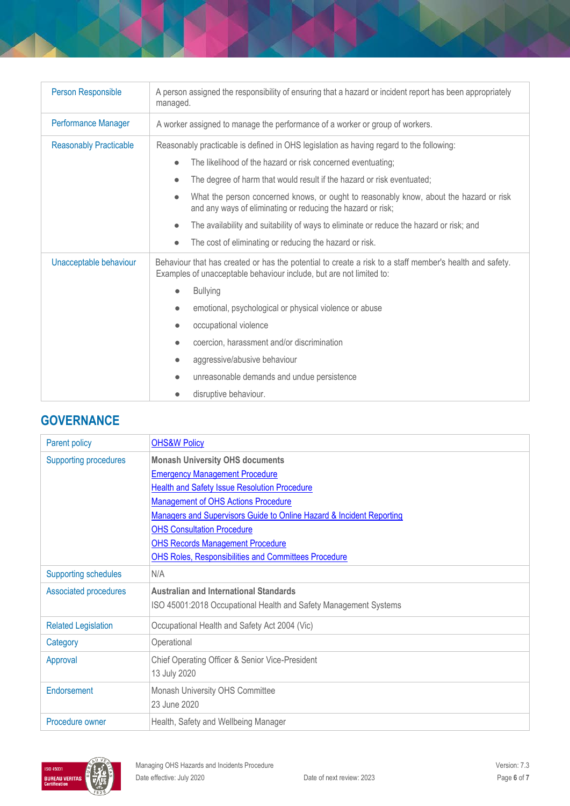| Person Responsible            | A person assigned the responsibility of ensuring that a hazard or incident report has been appropriately<br>managed.                                                                                                                                                                                                                                                                                                             |  |  |
|-------------------------------|----------------------------------------------------------------------------------------------------------------------------------------------------------------------------------------------------------------------------------------------------------------------------------------------------------------------------------------------------------------------------------------------------------------------------------|--|--|
| <b>Performance Manager</b>    | A worker assigned to manage the performance of a worker or group of workers.                                                                                                                                                                                                                                                                                                                                                     |  |  |
| <b>Reasonably Practicable</b> | Reasonably practicable is defined in OHS legislation as having regard to the following:<br>The likelihood of the hazard or risk concerned eventuating;<br>$\bullet$<br>The degree of harm that would result if the hazard or risk eventuated;<br>$\bullet$<br>What the person concerned knows, or ought to reasonably know, about the hazard or risk<br>$\bullet$<br>and any ways of eliminating or reducing the hazard or risk; |  |  |
|                               | The availability and suitability of ways to eliminate or reduce the hazard or risk; and<br>$\bullet$<br>The cost of eliminating or reducing the hazard or risk.<br>$\bullet$                                                                                                                                                                                                                                                     |  |  |
| Unacceptable behaviour        | Behaviour that has created or has the potential to create a risk to a staff member's health and safety.<br>Examples of unacceptable behaviour include, but are not limited to:<br><b>Bullying</b><br>$\bullet$<br>emotional, psychological or physical violence or abuse<br>$\bullet$<br>occupational violence<br>$\bullet$                                                                                                      |  |  |
|                               | coercion, harassment and/or discrimination<br>$\bullet$<br>aggressive/abusive behaviour<br>$\bullet$<br>unreasonable demands and undue persistence<br>$\bullet$<br>disruptive behaviour.                                                                                                                                                                                                                                         |  |  |

# **GOVERNANCE**

| <b>Parent policy</b>         | <b>OHS&amp;W Policy</b>                                              |  |  |
|------------------------------|----------------------------------------------------------------------|--|--|
| <b>Supporting procedures</b> | <b>Monash University OHS documents</b>                               |  |  |
|                              | <b>Emergency Management Procedure</b>                                |  |  |
|                              | <b>Health and Safety Issue Resolution Procedure</b>                  |  |  |
|                              | <b>Management of OHS Actions Procedure</b>                           |  |  |
|                              | Managers and Supervisors Guide to Online Hazard & Incident Reporting |  |  |
|                              | <b>OHS Consultation Procedure</b>                                    |  |  |
|                              | <b>OHS Records Management Procedure</b>                              |  |  |
|                              | <b>OHS Roles, Responsibilities and Committees Procedure</b>          |  |  |
| <b>Supporting schedules</b>  | N/A                                                                  |  |  |
| <b>Associated procedures</b> | <b>Australian and International Standards</b>                        |  |  |
|                              | ISO 45001:2018 Occupational Health and Safety Management Systems     |  |  |
| <b>Related Legislation</b>   | Occupational Health and Safety Act 2004 (Vic)                        |  |  |
| Category                     | Operational                                                          |  |  |
| Approval                     | Chief Operating Officer & Senior Vice-President                      |  |  |
|                              | 13 July 2020                                                         |  |  |
| Endorsement                  | Monash University OHS Committee                                      |  |  |
|                              | 23 June 2020                                                         |  |  |
| Procedure owner              | Health, Safety and Wellbeing Manager                                 |  |  |